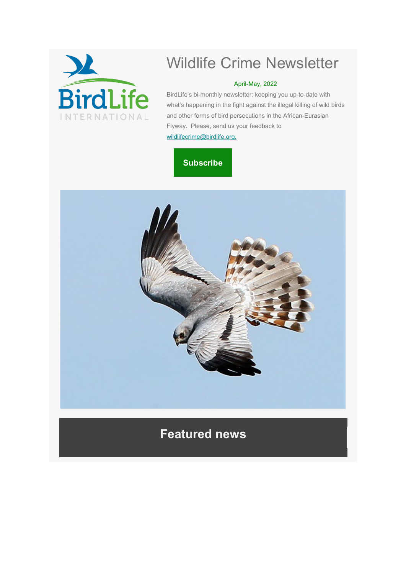

# Wildlife Crime Newsletter

### April-May, 2022

BirdLife's bi-monthly newsletter: keeping you up-to-date with what's happening in the fight against the illegal killing of wild birds and other forms of bird persecutions in the African-Eurasian Flyway. Please, send us your feedback to [wildlifecrime@birdlife.org.](mailto:wildlifecrime@birdlife.org)

## **[Subscribe](https://protect-eu.mimecast.com/s/N0pYCrnGs8JDv5i1zTyW?domain=flightforsurvival.us17.list-manage.com)**



## **Featured news**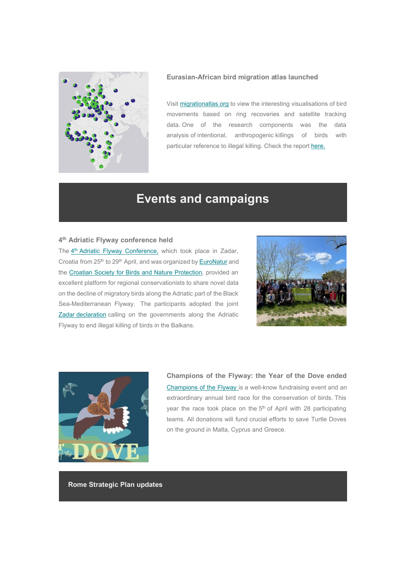

#### **Eurasian-African bird migration atlas launched**

Visit [migrationatlas.org](https://protect-eu.mimecast.com/s/JzfXCvrMT7Vy6DSMuUEQ?domain=flightforsurvival.us17.list-manage.com) to view the interesting visualisations of bird movements based on ring recoveries and satellite tracking data. One of the research components was the data analysis of intentional, anthropogenic killings of birds with particular reference to illegal killing. Check the report [here.](https://protect-eu.mimecast.com/s/FPojCwvNFGrR1DfY71nS?domain=flightforsurvival.us17.list-manage.com)

## **Events and campaigns**

### **4th Adriatic Flyway conference held**

The 4<sup>th</sup> [Adriatic Flyway Conference,](https://protect-eu.mimecast.com/s/FOWbCxw0c1NQA2tGKv2z?domain=flightforsurvival.us17.list-manage.com) which took place in Zadar, Croatia from 25<sup>th</sup> to 29<sup>th</sup> April, and was organized b[y EuroNatur](https://protect-eu.mimecast.com/s/h97rCzy8TMVm20t4Z5_Sa?domain=flightforsurvival.us17.list-manage.com) and the [Croatian Society for Birds and Nature Protection,](https://protect-eu.mimecast.com/s/Pg3pCAgLSNq1WvIGGs-WS?domain=flightforsurvival.us17.list-manage.com) provided an excellent platform for regional conservationists to share novel data on the decline of migratory birds along the Adriatic part of the Black Sea-Mediterranean Flyway. The participants adopted the joint **[Zadar](https://protect-eu.mimecast.com/s/6QHXCBjMT72l4gSz6JJRn?domain=flightforsurvival.us17.list-manage.com) [declaration](https://protect-eu.mimecast.com/s/wztACDlOF5GOVRiWAkLVt?domain=flightforsurvival.us17.list-manage.com)** calling on the governments along the Adriatic Flyway to end illegal killing of birds in the Balkans.





**Champions of the Flyway: the Year of the Dove ended** [Champions of the Flyway is](https://protect-eu.mimecast.com/s/SehLCEmgU3X6DQCNP2cKi?domain=flightforsurvival.us17.list-manage.com) a well-know fundraising event and an extraordinary annual bird race for the conservation of birds. This year the race took place on the 5<sup>th</sup> of April with 28 participating teams. All donations will fund crucial efforts to save Turtle Doves on the ground in Malta, Cyprus and Greece.

**Rome Strategic Plan updates**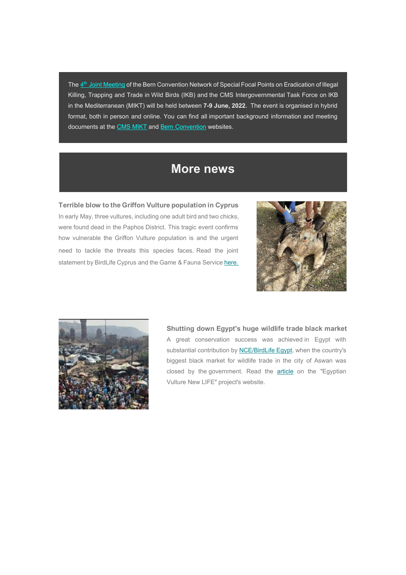The 4<sup>th</sup> [Joint Meeting](https://protect-eu.mimecast.com/s/29jICGokF1XLMVtKkp0xW?domain=flightforsurvival.us17.list-manage.com) of the Bern Convention Network of Special Focal Points on Eradication of Illegal Killing, Trapping and Trade in Wild Birds (IKB) and the CMS Intergovernmental Task Force on IKB in the Mediterranean (MIKT) will be held between **7-9 June, 2022.** The event is organised in hybrid format, both in person and online. You can find all important background information and meeting documents at th[e CMS MIKT](https://protect-eu.mimecast.com/s/PAJzCJrnTqMQY7iVOXn-Z?domain=flightforsurvival.us17.list-manage.com) an[d Bern Convention](https://protect-eu.mimecast.com/s/xnEeCKvoF2prnjHMosa4a?domain=flightforsurvival.us17.list-manage.com) websites.

### **More news**

### **Terrible blow to the Griffon Vulture population in Cyprus**

In early May, three vultures, including one adult bird and two chicks, were found dead in the Paphos District. This tragic event confirms how vulnerable the Griffon Vulture population is and the urgent need to tackle the threats this species faces. Read the joint statement by BirdLife Cyprus and the Game & Fauna Servic[e here.](https://protect-eu.mimecast.com/s/yLvfCLwpcR8Y1JtBKX4ML?domain=flightforsurvival.us17.list-manage.com)





### **Shutting down Egypt's huge wildlife trade black market**

A great conservation success was achieved in Egypt with substantial contribution by [NCE/BirdLife Egypt,](https://protect-eu.mimecast.com/s/V-2uCMxquqm6ZQiwOxDkv?domain=flightforsurvival.us17.list-manage.com) when the country's biggest black market for wildlife trade in the city of Aswan was closed by the government. Read the [article](https://protect-eu.mimecast.com/s/wl2eCNyrT0yMB2Sm8tC-n?domain=flightforsurvival.us17.list-manage.com) on the "Egyptian Vulture New LIFE" project's website.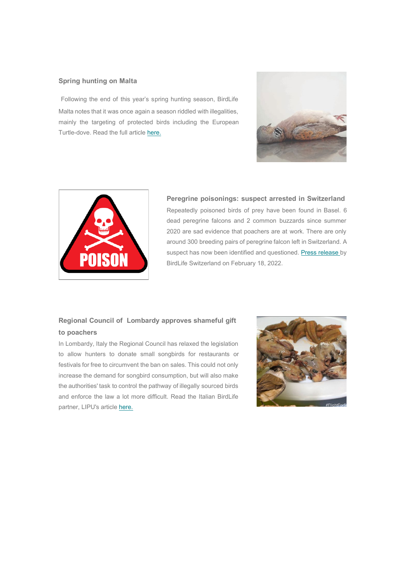### **Spring hunting on Malta**

Following the end of this year's spring hunting season, BirdLife Malta notes that it was once again a season riddled with illegalities, mainly the targeting of protected birds including the European Turtle-dove. Read the full article [here.](https://protect-eu.mimecast.com/s/4qisCOzvspQ2K6cEYtc_e?domain=flightforsurvival.us17.list-manage.com)





**Peregrine poisonings: suspect arrested in Switzerland** Repeatedly poisoned birds of prey have been found in Basel. 6 dead peregrine falcons and 2 common buzzards since summer 2020 are sad evidence that poachers are at work. There are only around 300 breeding pairs of peregrine falcon left in Switzerland. A suspect has now been identified and questioned. [Press release b](https://protect-eu.mimecast.com/s/eQqtCPAwtKV5x7UzR6Bpj?domain=flightforsurvival.us17.list-manage.com)y BirdLife Switzerland on February 18, 2022.

### **Regional Council of Lombardy approves shameful gift to poachers**

In Lombardy, Italy the Regional Council has relaxed the legislation to allow hunters to donate small songbirds for restaurants or festivals for free to circumvent the ban on sales. This could not only increase the demand for songbird consumption, but will also make the authorities' task to control the pathway of illegally sourced birds and enforce the law a lot more difficult. Read the Italian BirdLife partner, LIPU's article [here.](https://protect-eu.mimecast.com/s/BmfgCQBxskZNW5fxnmxjC?domain=flightforsurvival.us17.list-manage.com)

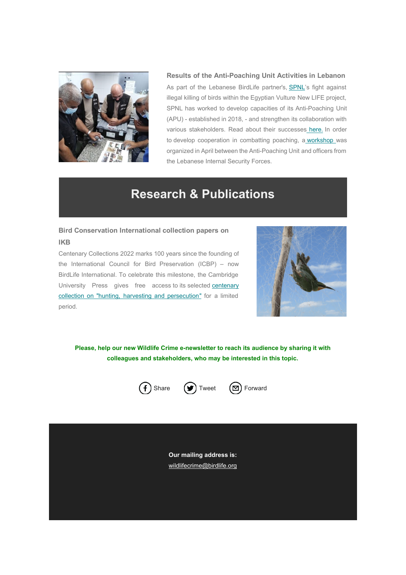

**Results of the Anti-Poaching Unit Activities in Lebanon** As part of the Lebanese BirdLife partner's, [SPNL's](https://protect-eu.mimecast.com/s/jzHPCRDycvZgLAs9ydhaw?domain=flightforsurvival.us17.list-manage.com) fight against illegal killing of birds within the Egyptian Vulture New LIFE project, SPNL has worked to develop capacities of its Anti-Poaching Unit (APU) - established in 2018, - and strengthen its collaboration with various stakeholders. Read about their successes [here.](https://protect-eu.mimecast.com/s/NTw0CVKDtxQPADfG5vXzM?domain=flightforsurvival.us17.list-manage.com) In order to develop cooperation in combatting poaching, a [workshop w](https://protect-eu.mimecast.com/s/z2EfCWXET5oyBAi62np-_?domain=flightforsurvival.us17.list-manage.com)as organized in April between the Anti-Poaching Unit and officers from the Lebanese Internal Security Forces.

## **Research & Publications**

### **Bird Conservation International collection papers on IKB**

Centenary Collections 2022 marks 100 years since the founding of the International Council for Bird Preservation (ICBP) – now BirdLife International. To celebrate this milestone, the Cambridge University Press gives free access to its selecte[d centenary](https://protect-eu.mimecast.com/s/Sh8BCX2GhXrMYxI6oQTi0?domain=flightforsurvival.us17.list-manage.com)  [collection](https://protect-eu.mimecast.com/s/Sh8BCX2GhXrMYxI6oQTi0?domain=flightforsurvival.us17.list-manage.com) [on "hunting, harvesting and persecution"](https://protect-eu.mimecast.com/s/ULlhCYNJhLB6xzs066RQf?domain=flightforsurvival.us17.list-manage.com) for a limited period.



**Please, help our new Wildlife Crime e-newsletter to reach its audience by sharing it with colleagues and stakeholders, who may be interested in this topic.**



**Our mailing address is:** [wildlifecrime@birdlife.org](mailto:wildlifecrime@birdlife.org?subject=IKB%20newsletter)